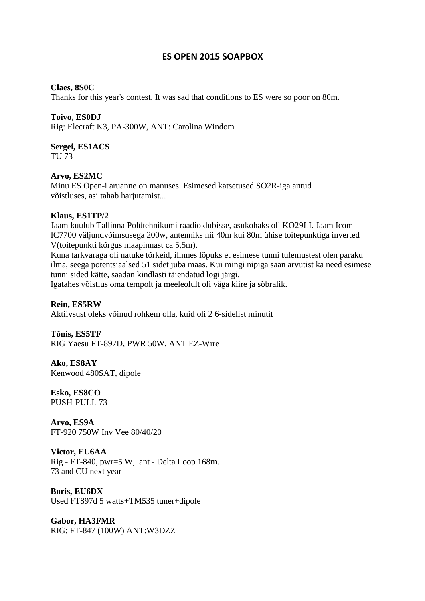## **ES OPEN 2015 SOAPBOX**

#### **Claes, 8S0C**

Thanks for this year's contest. It was sad that conditions to ES were so poor on 80m.

#### **Toivo, ES0DJ**

Rig: Elecraft K3, PA-300W, ANT: Carolina Windom

# **Sergei, ES1ACS**

TU 73

#### **Arvo, ES2MC**

Minu ES Open-i aruanne on manuses. Esimesed katsetused SO2R-iga antud võistluses, asi tahab harjutamist...

#### **Klaus, ES1TP/2**

Jaam kuulub Tallinna Polütehnikumi raadioklubisse, asukohaks oli KO29LI. Jaam Icom IC7700 väljundvõimsusega 200w, antenniks nii 40m kui 80m ühise toitepunktiga inverted V(toitepunkti kõrgus maapinnast ca 5,5m).

Kuna tarkvaraga oli natuke tõrkeid, ilmnes lõpuks et esimese tunni tulemustest olen paraku ilma, seega potentsiaalsed 51 sidet juba maas. Kui mingi nipiga saan arvutist ka need esimese tunni sided kätte, saadan kindlasti täiendatud logi järgi.

Igatahes võistlus oma tempolt ja meeleolult oli väga kiire ja sõbralik.

#### **Rein, ES5RW**

Aktiivsust oleks võinud rohkem olla, kuid oli 2 6-sidelist minutit

#### **Tõnis, ES5TF**

RIG Yaesu FT-897D, PWR 50W, ANT EZ-Wire

**Ako, ES8AY**  Kenwood 480SAT, dipole

**Esko, ES8CO**  PUSH-PULL 73

**Arvo, ES9A**  FT-920 750W Inv Vee 80/40/20

**Victor, EU6AA**  Rig - FT-840, pwr=5 W, ant - Delta Loop 168m. 73 and CU next year

**Boris, EU6DX**  Used FT897d 5 watts+TM535 tuner+dipole

**Gabor, HA3FMR**  RIG: FT-847 (100W) ANT:W3DZZ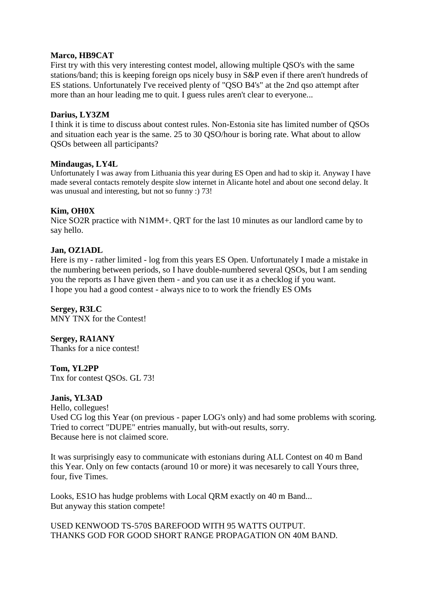#### **Marco, HB9CAT**

First try with this very interesting contest model, allowing multiple QSO's with the same stations/band; this is keeping foreign ops nicely busy in S&P even if there aren't hundreds of ES stations. Unfortunately I've received plenty of "QSO B4's" at the 2nd qso attempt after more than an hour leading me to quit. I guess rules aren't clear to everyone...

#### **Darius, LY3ZM**

I think it is time to discuss about contest rules. Non-Estonia site has limited number of QSOs and situation each year is the same. 25 to 30 QSO/hour is boring rate. What about to allow QSOs between all participants?

#### **Mindaugas, LY4L**

Unfortunately I was away from Lithuania this year during ES Open and had to skip it. Anyway I have made several contacts remotely despite slow internet in Alicante hotel and about one second delay. It was unusual and interesting, but not so funny :) 73!

### **Kim, OH0X**

Nice SO2R practice with N1MM+. QRT for the last 10 minutes as our landlord came by to say hello.

#### **Jan, OZ1ADL**

Here is my - rather limited - log from this years ES Open. Unfortunately I made a mistake in the numbering between periods, so I have double-numbered several QSOs, but I am sending you the reports as I have given them - and you can use it as a checklog if you want. I hope you had a good contest - always nice to to work the friendly ES OMs

**Sergey, R3LC**  MNY TNX for the Contest!

**Sergey, RA1ANY**  Thanks for a nice contest!

**Tom, YL2PP**  Tnx for contest QSOs. GL 73!

#### **Janis, YL3AD**

Hello, collegues! Used CG log this Year (on previous - paper LOG's only) and had some problems with scoring. Tried to correct "DUPE" entries manually, but with-out results, sorry. Because here is not claimed score.

It was surprisingly easy to communicate with estonians during ALL Contest on 40 m Band this Year. Only on few contacts (around 10 or more) it was necesarely to call Yours three, four, five Times.

Looks, ES1O has hudge problems with Local QRM exactly on 40 m Band... But anyway this station compete!

USED KENWOOD TS-570S BAREFOOD WITH 95 WATTS OUTPUT. THANKS GOD FOR GOOD SHORT RANGE PROPAGATION ON 40M BAND.